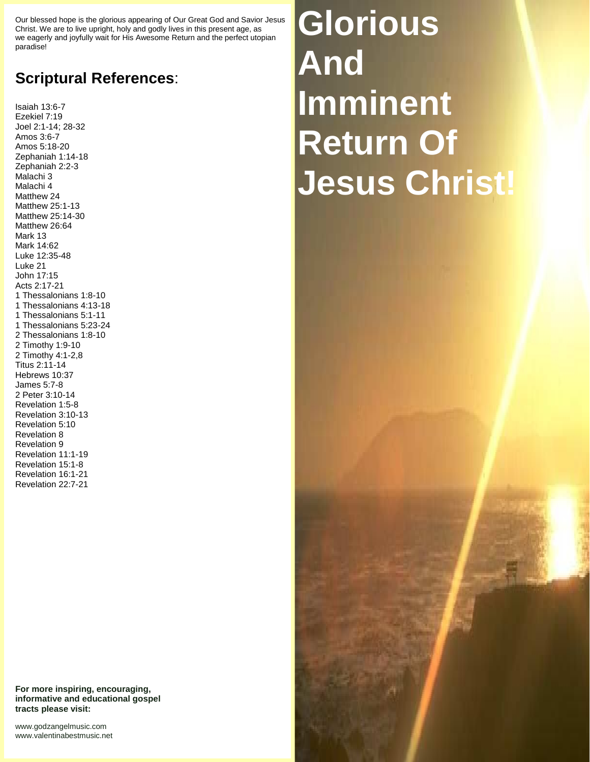Our blessed hope is the glorious appearing of Our Great God and Savior Jesus Christ. We are to live upright, holy and godly lives in this present age, as we eagerly and joyfully wait for His Awesome Return and the perfect utopian paradise!

## **Scriptural References**:

Isaiah 13:6-7 Ezekiel 7:19 Joel 2:1-14; 28-32 Amos 3:6-7 Amos 5:18-20 Zephaniah 1:14-18 Zephaniah 2:2-3 Malachi 3 Malachi 4 Matthew 24 Matthew 25:1-13 Matthew 25:14-30 Matthew 26:64 Mark 13 Mark 14:62 Luke 12:35-48 Luke 21 John 17:15 Acts 2:17-21 1 Thessalonians 1:8-10 1 Thessalonians 4:13-18 1 Thessalonians 5:1-11 1 Thessalonians 5:23-24 2 Thessalonians 1:8-10 2 Timothy 1:9-10 2 Timothy 4:1-2,8 Titus 2:11-14 Hebrews 10:37 James 5:7-8 2 Peter 3:10-14 Revelation 1:5-8 Revelation 3:10-13 Revelation 5:10 Revelation 8 Revelation 9 Revelation 11:1-19 Revelation 15:1-8 Revelation 16:1-21 Revelation 22:7-21

**Glorious And Imminent Return Of Jesus Christ!**

**For more inspiring, encouraging, informative and educational gospel tracts please visit:**

<www.godzangelmusic.com> <www.valentinabestmusic.net>